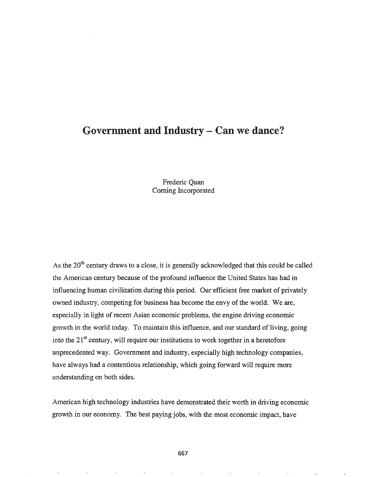## Government and Industry - Can we dance?

Frederic Quan Coming Incorporated

As the  $20<sup>th</sup>$  century draws to a close, it is generally acknowledged that this could be called the American century because of the profound influence the United States has had in influencing human civilization during this period. Our efficient free market of privately owned industry, competing for business has become the envy of the world. We are, especially in light of recent Asian economic problems, the engine driving economic growth in the world today. To maintain this influence, and our standard of living, going into the  $21<sup>st</sup>$  century, will require our institutions to work together in a heretofore unprecedented way. Government and industry, especially high technology companies, have always had a contentious relationship, which going forward will require more understanding on both sides.

American high technology industries have demonstrated their worth in driving economic growth in our economy. The best paying jobs, with the most economic impact, have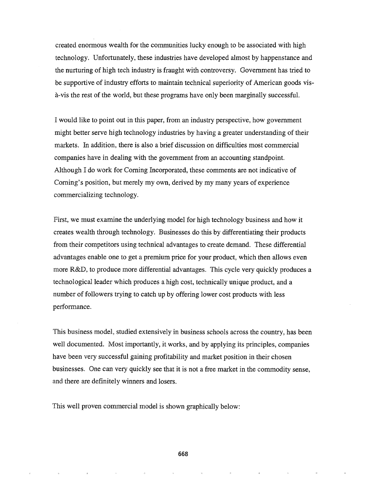created enormous wealth for the communities lucky enough to be associated with high technology. Unfortunately, these industries have developed almost by happenstance and the nurturing of high tech industry is fraught with controversy. Government has tried to be supportive of industry efforts to maintain technical superiority of American goods visa-vis the rest of the world, but these programs have only been marginally successful.

I would like to point out in this paper, from an industry perspective, how government might better serve high technology industries by having a greater understanding of their markets. In addition, there is also a brief discussion on difficulties most commercial companies have in dealing with the government from an accounting standpoint. Although I do work for Corning Incorporated, these comments are not indicative of Coming's position, but merely my own, derived by my many years of experience commercializing technology.

First, we must examine the underlying model for high technology business and how it creates wealth through technology. Businesses do this by differentiating their products from their competitors using technical advantages to create demand. These differential advantages enable one to get a premium price for your product, which then allows even more R&D, to produce more differential advantages. This cycle very quickly produces a technological leader which produces a high cost, technically unique product, and a number of followers trying to catch up by offering lower cost products with less performance.

This business model, studied extensively in business schools across the country, has been well documented. Most importantly, it works, and by applying its principles, companies have been very successful gaining profitability and market position in their chosen businesses. One can very quickly see that it is not a free market in the commodity sense, and there are definitely winners and losers..

This well proven commercial model is shown graphically below: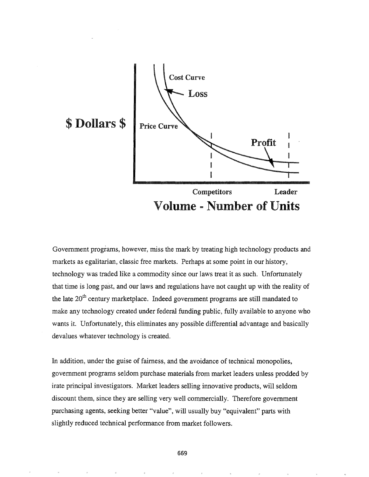

Government programs, however, miss the mark by treating high technology products and markets as egalitarian, classic free markets. Perhaps at some point in our history, technology was traded like a commodity since our laws treat it as such. Unfortunately that time is long past, and our laws and regulations have not caught up with the reality of the late  $20<sup>th</sup>$  century marketplace. Indeed government programs are still mandated to make any technology created under federal funding public, fully available to anyone who wants it. Unfortunately, this eliminates any possible differential advantage and basically devalues whatever technology is created.

In addition, under the guise of fairness, and the avoidance of technical monopolies, government programs seldom purchase materials from market leaders unless prodded by irate principal investigators. Market leaders selling innovative products, will seldom discount them, since they are selling very well commercially. Therefore government purchasing agents, seeking better "value", will usually buy "equivalent" parts with slightly reduced technical performance from market followers.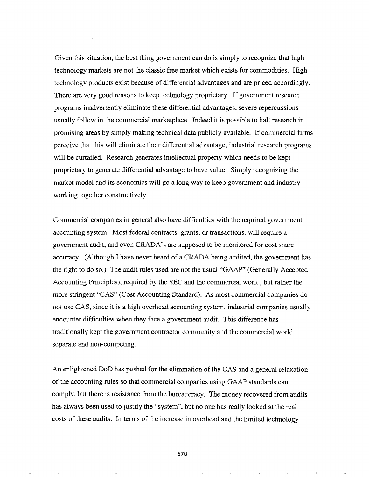Given this situation, the best thing government can do is simply to recognize that high technology markets are not the classic free market which exists for commodities. High technology products exist because of differential advantages and are priced accordingly. There are very good reasons to keep technology proprietary. If government research programs inadvertently eliminate these differential advantages, severe repercussions usually follow in the commercial marketplace. Indeed it is possible to halt research in promising areas by simply making technical data publicly available. If commercial firms perceive that this will eliminate their differential advantage, industrial research programs will be curtailed. Research generates intellectual property which needs to be kept proprietary to generate differential advantage to have value. Simply recognizing the market model and its economics will go a long way to keep government and industry working together constructively.

Commercial companies in general also have difficulties with the required government accounting system. Most federal contracts, grants, or transactions, will require a government audit, and even CRADA's are supposed to be monitored for cost share accuracy. (Although I have never heard of a CRADA being audited, the government has the right to do so.) The audit rules used are not the usual "GAAP" (Generally Accepted Accounting Principles), required by the SEC and the commercial world, but rather the more stringent "CAS" (Cost Accounting Standard). As most commercial companies do not use CAS, since it is a high overhead accounting system, industrial companies usually encounter difficulties when they face a government audit. This difference has traditionally kept the government contractor community and the commercial world separate and non-competing..

An enlightened DoD has pushed for the elimination of the CAS and a general relaxation of the accounting rules so that commercial companies using GAAP standards can comply, but there is resistance from the bureaucracy. The money recovered from audits has always been used to justify the "system", but no one has really looked at the real costs of these audits. In terms of the increase in overhead and the limited technology